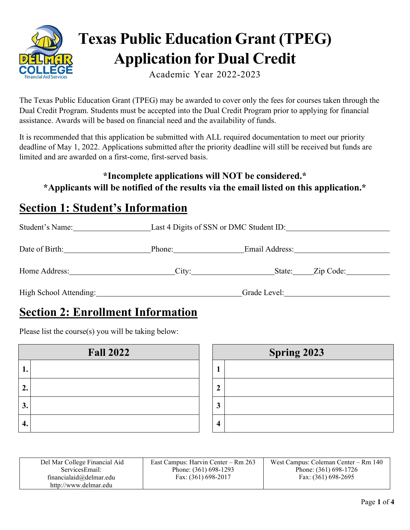

# **Texas Public Education Grant (TPEG) Application for Dual Credit**

Academic Year 2022-2023

The Texas Public Education Grant (TPEG) may be awarded to cover only the fees for courses taken through the Dual Credit Program. Students must be accepted into the Dual Credit Program prior to applying for financial assistance. Awards will be based on financial need and the availability of funds.

It is recommended that this application be submitted with ALL required documentation to meet our priority deadline of May 1, 2022. Applications submitted after the priority deadline will still be received but funds are limited and are awarded on a first-come, first-served basis.

#### **\*Incomplete applications will NOT be considered.\* \*Applicants will be notified of the results via the email listed on this application.\***

## **Section 1: Student's Information**

| Student's Name:        |        | Last 4 Digits of SSN or DMC Student ID: |  |
|------------------------|--------|-----------------------------------------|--|
| Date of Birth:         | Phone: | Email Address:                          |  |
| Home Address:          |        | City: State: Zip Code:                  |  |
| High School Attending: |        | Grade Level:                            |  |

## **Section 2: Enrollment Information**

Please list the course(s) you will be taking below:

| <b>Fall 2022</b> |  |  |
|------------------|--|--|
| ı.               |  |  |
| 2.               |  |  |
| 3.               |  |  |
|                  |  |  |

| Spring 2023 |  |  |
|-------------|--|--|
|             |  |  |
|             |  |  |
| ্ব          |  |  |
|             |  |  |

| Del Mar College Financial Aid | East Campus: Harvin Center – Rm 263 | West Campus: Coleman Center – Rm 140 |
|-------------------------------|-------------------------------------|--------------------------------------|
| ServicesEmail:                | Phone: (361) 698-1293               | Phone: (361) 698-1726                |
| financialaid@delmar.edu       | Fax: (361) 698-2017                 | Fax: $(361)$ 698-2695                |
| http://www.delmar.edu         |                                     |                                      |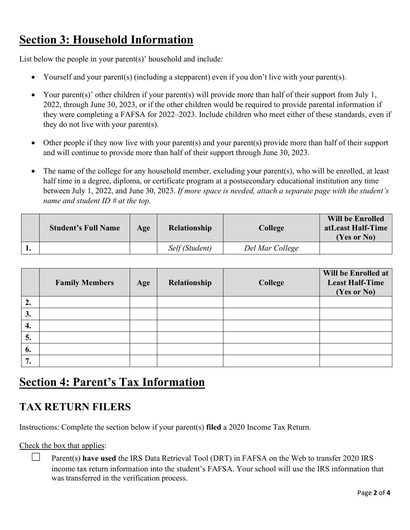## **Section 3: Household Information**

List below the people in your parent(s)' household and include:

- Yourself and your parent(s) (including a stepparent) even if you don't live with your parent(s).
- Your parent(s)' other children if your parent(s) will provide more than half of their support from July 1, 2022, through June 30, 2023, or if the other children would be required to provide parental information if they were completing a FAFSA for 2022–2023. Include children who meet either of these standards, even if they do not live with your parent(s).
- Other people if they now live with your parent(s) and your parent(s) provide more than half of their support and will continue to provide more than half of their support through June 30, 2023.
- The name of the college for any household member, excluding your parent(s), who will be enrolled, at least half time in a degree, diploma, or certificate program at a postsecondary educational institution any time between July 1, 2022, and June 30, 2023. *If more space is needed, attach a separate page with the student's name and student ID # at the top.*

| <b>Student's Full Name</b> | Age | <b>Relationship</b> | College         | <b>Will be Enrolled</b><br>atLeast Half-Time<br>(Yes or No) |
|----------------------------|-----|---------------------|-----------------|-------------------------------------------------------------|
|                            |     | Self (Student)      | Del Mar College |                                                             |

|    | <b>Family Members</b> | Age | Relationship | College | Will be Enrolled at<br><b>Least Half-Time</b><br>(Yes or No) |
|----|-----------------------|-----|--------------|---------|--------------------------------------------------------------|
| 2. |                       |     |              |         |                                                              |
| 3. |                       |     |              |         |                                                              |
| 4. |                       |     |              |         |                                                              |
| 5. |                       |     |              |         |                                                              |
| 6. |                       |     |              |         |                                                              |
| 7. |                       |     |              |         |                                                              |

# **Section 4: Parent's Tax Information**

#### **TAX RETURN FILERS**

Instructions: Complete the section below if your parent(s) **filed** a 2020 Income Tax Return.

Check the box that applies:

☐ Parent(s) **have used** the IRS Data Retrieval Tool (DRT) in FAFSA on the Web to transfer 2020 IRS income tax return information into the student's FAFSA. Your school will use the IRS information that was transferred in the verification process.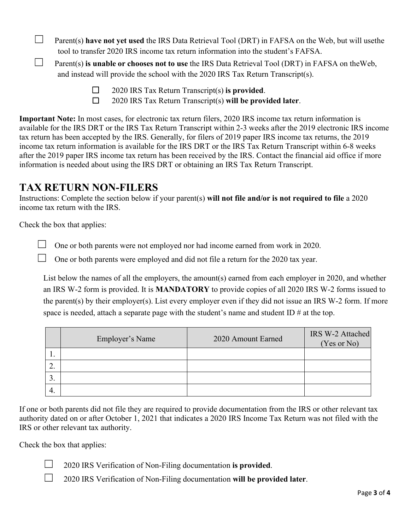$\Box$  Parent(s) **have not yet used** the IRS Data Retrieval Tool (DRT) in FAFSA on the Web, but will use the tool to transfer 2020 IRS income tax return information into the student's FAFSA.

☐ Parent(s) **is unable or chooses not to use** the IRS Data Retrieval Tool (DRT) in FAFSA on theWeb, and instead will provide the school with the 2020 IRS Tax Return Transcript(s).

- ☐ 2020 IRS Tax Return Transcript(s) **is provided**.
- ☐ 2020 IRS Tax Return Transcript(s) **will be provided later**.

**Important Note:** In most cases, for electronic tax return filers, 2020 IRS income tax return information is available for the IRS DRT or the IRS Tax Return Transcript within 2-3 weeks after the 2019 electronic IRS income tax return has been accepted by the IRS. Generally, for filers of 2019 paper IRS income tax returns, the 2019 income tax return information is available for the IRS DRT or the IRS Tax Return Transcript within 6-8 weeks after the 2019 paper IRS income tax return has been received by the IRS. Contact the financial aid office if more information is needed about using the IRS DRT or obtaining an IRS Tax Return Transcript.

#### **TAX RETURN NON-FILERS**

Instructions: Complete the section below if your parent(s) **will not file and/or is not required to file** a 2020 income tax return with the IRS.

Check the box that applies:

 $\Box$  One or both parents were not employed nor had income earned from work in 2020.

 $\Box$  One or both parents were employed and did not file a return for the 2020 tax year.

List below the names of all the employers, the amount(s) earned from each employer in 2020, and whether an IRS W-2 form is provided. It is **MANDATORY** to provide copies of all 2020 IRS W-2 forms issued to the parent(s) by their employer(s). List every employer even if they did not issue an IRS W-2 form. If more space is needed, attach a separate page with the student's name and student ID  $\#$  at the top.

|     | Employer's Name | 2020 Amount Earned | IRS W-2 Attached<br>(Yes or No) |
|-----|-----------------|--------------------|---------------------------------|
| . . |                 |                    |                                 |
| ٠.  |                 |                    |                                 |
|     |                 |                    |                                 |
| -4. |                 |                    |                                 |

If one or both parents did not file they are required to provide documentation from the IRS or other relevant tax authority dated on or after October 1, 2021 that indicates a 2020 IRS Income Tax Return was not filed with the IRS or other relevant tax authority.

Check the box that applies:

☐ 2020 IRS Verification of Non-Filing documentation **is provided**.

☐ 2020 IRS Verification of Non-Filing documentation **will be provided later**.